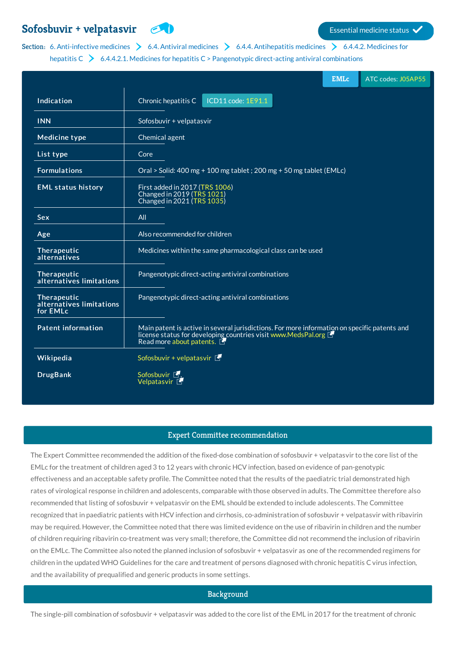# **Sofosbuvir + [velpatasvir](http://list.essentialmeds.org/medicines/290) Example 2008 Essential medicine status**

# Section: 6. [Anti-infective](http://list.essentialmeds.org/?section=355) [medicines](http://list.essentialmeds.org/?section=343)  $\triangleright$  6.4. Antiviral medicines  $\triangleright$  6.4.4. [Antihepatitis](http://list.essentialmeds.org/?section=352) medicines  $\triangleright$  6.4.4.2. Medicines for

| hepatitis $C \geq 6.4.4.2.1$ . Medicines for hepatitis $C >$ Pangenotypic direct-acting antiviral combinations |                                                                                                                                                                                             |
|----------------------------------------------------------------------------------------------------------------|---------------------------------------------------------------------------------------------------------------------------------------------------------------------------------------------|
|                                                                                                                | <b>EMLc</b><br>ATC codes: J05AP55                                                                                                                                                           |
| Indication                                                                                                     | Chronic hepatitis C<br>ICD11 code: 1E91.1                                                                                                                                                   |
| <b>INN</b>                                                                                                     | Sofosbuvir + velpatasvir                                                                                                                                                                    |
| <b>Medicine type</b>                                                                                           | Chemical agent                                                                                                                                                                              |
| List type                                                                                                      | Core                                                                                                                                                                                        |
| <b>Formulations</b>                                                                                            | Oral > Solid: 400 mg + 100 mg tablet ; 200 mg + 50 mg tablet (EMLc)                                                                                                                         |
| <b>EML status history</b>                                                                                      | First added in 2017 (TRS 1006)<br>Changed in 2019 (TRS 1021)<br>Changed in 2021 (TRS 1035)                                                                                                  |
| Sex                                                                                                            | All                                                                                                                                                                                         |
| Age                                                                                                            | Also recommended for children                                                                                                                                                               |
| Therapeutic<br>alternatives                                                                                    | Medicines within the same pharmacological class can be used                                                                                                                                 |
| Therapeutic<br>alternatives limitations                                                                        | Pangenotypic direct-acting antiviral combinations                                                                                                                                           |
| Therapeutic<br>alternatives limitations<br>for EMLc                                                            | Pangenotypic direct-acting antiviral combinations                                                                                                                                           |
| <b>Patent information</b>                                                                                      | Main patent is active in several jurisdictions. For more information on specific patents and<br>license status for developing countries visit www.MedsPal.org F<br>Read more about patents. |
| Wikipedia                                                                                                      | Sofosbuvir + velpatasvir $\blacksquare$                                                                                                                                                     |
| <b>DrugBank</b>                                                                                                | Sofosbuvir L,<br>Velpatasvir <sup>6</sup>                                                                                                                                                   |

# Expert Committee recommendation

The Expert Committee recommended the addition of the fixed-dose combination of sofosbuvir + velpatasvir to the core list of the EMLc for the treatment of children aged 3 to 12 years with chronic HCV infection, based on evidence of pan-genotypic effectiveness and an acceptable safety profile. The Committee noted that the results of the paediatric trial demonstrated high rates of virological response in children and adolescents, comparable with those observed in adults. The Committee therefore also recommended that listing of sofosbuvir + velpatasvir on the EML should be extended to include adolescents. The Committee recognized that in paediatric patients with HCV infection and cirrhosis, co-administration of sofosbuvir + velpatasvir with ribavirin may be required. However, the Committee noted that there was limited evidence on the use of ribavirin in children and the number of children requiring ribavirin co-treatment was very small; therefore, the Committee did not recommend the inclusion of ribavirin on the EMLc. The Committee also noted the planned inclusion of sofosbuvir + velpatasvir as one of the recommended regimens for children in the updated WHO Guidelines for the care and treatment of persons diagnosed with chronic hepatitis C virus infection, and the availability of prequalified and generic products in some settings.

#### **Background**

The single-pill combination of sofosbuvir + velpatasvir was added to the core list of the EML in 2017 for the treatment of chronic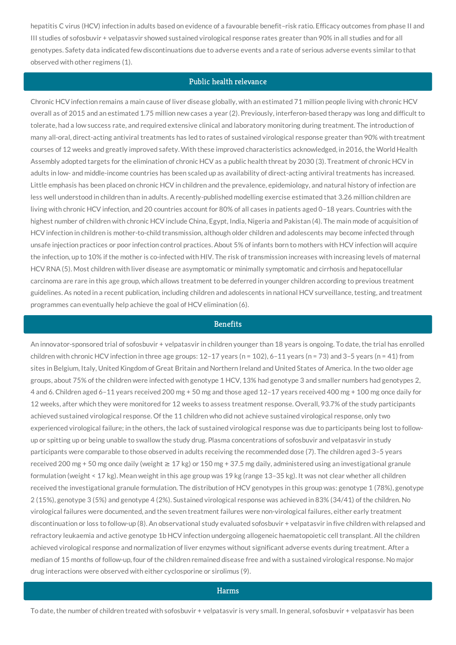hepatitis C virus (HCV) infection in adults based on evidence of a favourable benefit–risk ratio. Efficacy outcomes from phase II and III studies of sofosbuvir + velpatasvir showed sustained virological response rates greater than 90% in all studies and for all genotypes. Safety data indicated few discontinuations due to adverse events and a rate of serious adverse events similar to that observed with other regimens (1).

# Public health relevance

Chronic HCV infection remains a main cause of liver disease globally, with an estimated 71 million people living with chronic HCV overall as of 2015 and an estimated 1.75 million new cases a year (2). Previously, interferon-based therapy was long and difficult to tolerate, had a low success rate, and required extensive clinical and laboratory monitoring during treatment. The introduction of many all-oral, direct-acting antiviral treatments has led to rates of sustained virological response greater than 90% with treatment courses of 12 weeks and greatly improved safety. With these improved characteristics acknowledged, in 2016, the World Health Assembly adopted targets for the elimination of chronic HCV as a public health threat by 2030 (3). Treatment of chronic HCV in adults in low- and middle-income countries has been scaled up as availability of direct-acting antiviral treatments has increased. Little emphasis has been placed on chronic HCV in children and the prevalence, epidemiology, and natural history of infection are less well understood in children than in adults. A recently-published modelling exercise estimated that 3.26 million children are living with chronic HCV infection, and 20 countries account for 80% of all cases in patients aged 0–18 years. Countries with the highest number of children with chronic HCV include China, Egypt, India, Nigeria and Pakistan (4). The main mode of acquisition of HCV infection in children is mother-to-child transmission, although older children and adolescents may become infected through unsafe injection practices or poor infection control practices. About 5% of infants born to mothers with HCV infection will acquire the infection, up to 10% if the mother is co-infected with HIV. The risk of transmission increases with increasing levels of maternal HCV RNA (5). Most children with liver disease are asymptomatic or minimally symptomatic and cirrhosis and hepatocellular carcinoma are rare in this age group, which allows treatment to be deferred in younger children according to previous treatment guidelines. As noted in a recent publication, including children and adolescents in national HCV surveillance, testing, and treatment programmes can eventually help achieve the goal of HCV elimination (6).

### **Benefits**

An innovator-sponsored trial of sofosbuvir + velpatasvir in children younger than 18 years is ongoing. To date, the trial has enrolled children with chronic HCV infection in three age groups: 12-17 years (n = 102), 6-11 years (n = 73) and 3-5 years (n = 41) from sites in Belgium, Italy, United Kingdom of Great Britain and Northern Ireland and United States of America. In the two older age groups, about 75% of the children were infected with genotype 1 HCV, 13% had genotype 3 and smaller numbers had genotypes 2, 4 and 6. Children aged 6–11 years received 200 mg + 50 mg and those aged 12–17 years received 400 mg + 100 mg once daily for 12 weeks, after which they were monitored for 12 weeks to assess treatment response. Overall, 93.7% of the study participants achieved sustained virological response. Of the 11 children who did not achieve sustained virological response, only two experienced virological failure; in the others, the lack of sustained virological response was due to participants being lost to followup or spitting up or being unable to swallow the study drug. Plasma concentrations of sofosbuvir and velpatasvir in study participants were comparable to those observed in adults receiving the recommended dose (7). The children aged 3–5 years received 200 mg + 50 mg once daily (weight  $\geq 17$  kg) or 150 mg + 37.5 mg daily, administered using an investigational granule formulation (weight < 17 kg). Mean weight in this age group was 19 kg (range 13–35 kg). It was not clear whether all children received the investigational granule formulation. The distribution of HCV genotypes in this group was: genotype 1 (78%), genotype 2 (15%), genotype 3 (5%) and genotype 4 (2%). Sustained virological response was achieved in 83% (34/41) of the children. No virological failures were documented, and the seven treatment failures were non-virological failures, either early treatment discontinuation or loss to follow-up (8). An observational study evaluated sofosbuvir + velpatasvir in five children with relapsed and refractory leukaemia and active genotype 1b HCV infection undergoing allogeneic haematopoietic cell transplant. All the children achieved virological response and normalization of liver enzymes without significant adverse events during treatment. After a median of 15 months of follow-up, four of the children remained disease free and with a sustained virological response. No major drug interactions were observed with either cyclosporine or sirolimus (9).

#### Harms

To date, the number of children treated with sofosbuvir + velpatasvir is very small. In general, sofosbuvir + velpatasvir has been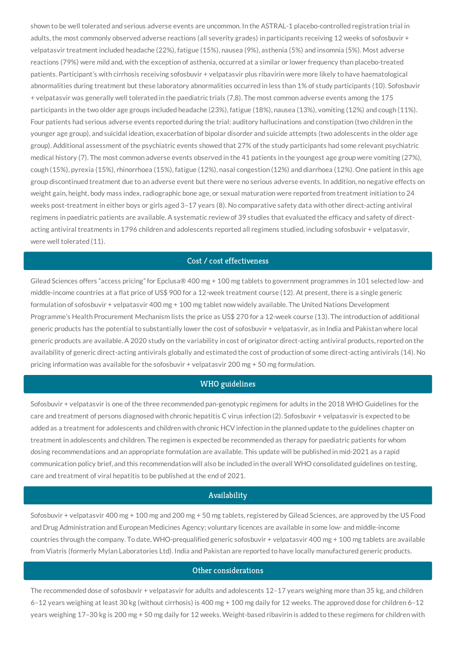shown to be well tolerated and serious adverse events are uncommon. In the ASTRAL-1 placebo-controlled registration trial in adults, the most commonly observed adverse reactions (all severity grades) in participants receiving 12 weeks of sofosbuvir + velpatasvir treatment included headache (22%), fatigue (15%), nausea (9%), asthenia (5%) and insomnia (5%). Most adverse reactions (79%) were mild and, with the exception of asthenia, occurred at a similar or lower frequency than placebo-treated patients. Participant's with cirrhosis receiving sofosbuvir + velpatasvir plus ribavirin were more likely to have haematological abnormalities during treatment but these laboratory abnormalities occurred in less than 1% of study participants (10). Sofosbuvir + velpatasvir was generally well tolerated in the paediatric trials (7,8). The most common adverse events among the 175 participants in the two older age groups included headache (23%), fatigue (18%), nausea (13%), vomiting (12%) and cough (11%). Four patients had serious adverse events reported during the trial: auditory hallucinations and constipation (two children in the younger age group), and suicidal ideation, exacerbation of bipolar disorder and suicide attempts (two adolescents in the older age group). Additional assessment of the psychiatric events showed that 27% of the study participants had some relevant psychiatric medical history (7). The most common adverse events observed in the 41 patients in the youngest age group were vomiting (27%), cough (15%), pyrexia (15%), rhinorrhoea (15%), fatigue (12%), nasal congestion (12%) and diarrhoea (12%). One patient in this age group discontinued treatment due to an adverse event but there were no serious adverse events. In addition, no negative effects on weight gain, height, body mass index, radiographic bone age, or sexual maturation were reported from treatment initiation to 24 weeks post-treatment in either boys or girls aged 3–17 years (8). No comparative safety data with other direct-acting antiviral regimens in paediatric patients are available. A systematic review of 39 studies that evaluated the efficacy and safety of directacting antiviral treatments in 1796 children and adolescents reported all regimens studied, including sofosbuvir + velpatasvir, were well tolerated (11).

# Cost / cost effectiveness

Gilead Sciences offers "access pricing" for Epclusa® 400 mg + 100 mg tablets to government programmes in 101 selected low- and middle-income countries at a flat price of US\$ 900 for a 12-week treatment course (12). At present, there is a single generic formulation of sofosbuvir + velpatasvir 400 mg + 100 mg tablet now widely available. The United Nations Development Programme's Health Procurement Mechanism lists the price as US\$ 270 for a 12-week course (13). The introduction of additional generic products has the potential to substantially lower the cost of sofosbuvir + velpatasvir, as in India and Pakistan where local generic products are available. A 2020 study on the variability in cost of originator direct-acting antiviral products, reported on the availability of generic direct-acting antivirals globally and estimated the cost of production of some direct-acting antivirals (14). No pricing information was available for the sofosbuvir + velpatasvir 200 mg + 50 mg formulation.

# WHO guidelines

Sofosbuvir + velpatasvir is one of the three recommended pan-genotypic regimens for adults in the 2018 WHO Guidelines for the care and treatment of persons diagnosed with chronic hepatitis C virus infection (2). Sofosbuvir + velpatasvir is expected to be added as a treatment for adolescents and children with chronic HCV infection in the planned update to the guidelines chapter on treatment in adolescents and children. The regimen is expected be recommended as therapy for paediatric patients for whom dosing recommendations and an appropriate formulation are available. This update will be published in mid-2021 as a rapid communication policy brief, and this recommendation will also be included in the overall WHO consolidated guidelines on testing, care and treatment of viral hepatitis to be published at the end of 2021.

#### Availability

Sofosbuvir + velpatasvir 400 mg + 100 mg and 200 mg + 50 mg tablets, registered by Gilead Sciences, are approved by the US Food and Drug Administration and European Medicines Agency; voluntary licences are available in some low- and middle-income countries through the company. To date, WHO-prequalified generic sofosbuvir + velpatasvir 400 mg + 100 mg tablets are available from Viatris (formerly Mylan Laboratories Ltd). India and Pakistan are reported to have locally manufactured generic products.

# Other considerations

The recommended dose of sofosbuvir + velpatasvir for adults and adolescents 12-17 years weighing more than 35 kg, and children 6–12 years weighing at least 30 kg (without cirrhosis) is 400 mg + 100 mg daily for 12 weeks. The approved dose for children 6–12 years weighing 17–30 kg is 200 mg + 50 mg daily for 12 weeks. Weight-based ribavirin is added to these regimens for children with